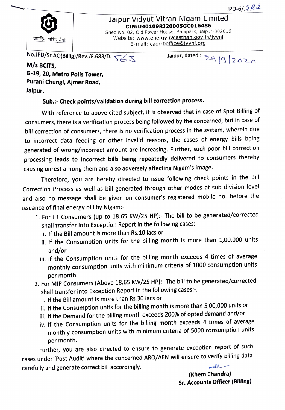

## Jaipur Vidyut Vitran Nigam Limited CIN:U40109RJ2000sGco16486

Shed No. 02, Old Power House, Banipark, Jaipur-302016 Website: www.energy.rajasthan.gov.in/jvvnl E-mail: caorrboffice@jvvnl.org

 $\overline{N_0JPD/Sr.AO(Billig)/Rev./F.683/D.}$   $\overline{SCS}$  Jaipur, dated: 29 9 2020

G-19, 20, Metro Polis Tower, Purani Chungi, Ajmer Road, Jaipur.

Sub.:- Check points/validation during bill correction process.

With reference to above cited subject, it is observed that in case of Spot Billing of consumers, there is a verification process being followed by the concerned, but in case of bill correction of consumers, there is no verification process in the system, wherein due to incorrect data feeding or other invalid reasons, the cases of energy bills being generated of wrong/incorrect amount are increasing. Further, such poor bill correction processing leads to incorrect bills being repeatedly delivered to consumers thereby causing unrest among them and also adversely affecting Nigam's image.

Therefore, you are hereby directed to issue following check points in the Bill Correction Process as well as bill generated through other modes at sub division level and also no message shall be given on consumer's registered mobile no. before the issuance of final energy bill by Nigam:-

- 1. For LT Consumers (up to 18.65 KW/25 HP):- The bill to be generated/corrected shall transfer into Exception Report in the following cases:
	- i. If the Bill amount is more than Rs.10 lacs or
	- ii. If the Consumption units for the billing month is more than 1,00,000 units and/or
	- ii. If the Consumption units for the billing month exceeds 4 times of average monthly consumption units with minimum criteria of 1000 consumption units per month.
- 2. For MIP Consumers (Above 18.65 KW/25 HP):- The bill to be generated/corrected shall transfer into Exception Report in the following cases:
	- i. If the Bill amount is more than Rs.30 lacs or
	- ii. If the Consumption units for the billing month is more than 5,00,000 units or
	- ii. If the Demand for the billing month exceeds 200% of opted demand and/or
	- iv. If the Consumption units for the billing month exceeds 4 times of average monthly consumption units with minimum criteria of 5000 consumption units per month.

Further, you are also directed to ensure to generate exception report of such cases under 'Post Audit' where the concerned ARO/AEN will ensure to verify billing data<br>carofully and generate correct bill accordingly. carefully and generate correct bill accordingly.

(Khem Chandra) Sr. Accounts Officer (Billing)